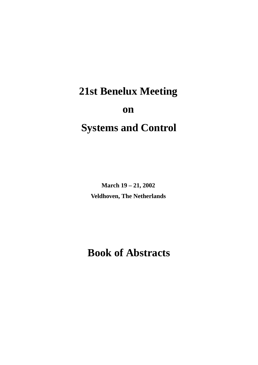# **21st Benelux Meeting on**

## **Systems and Control**

**March 19 – 21, 2002 Veldhoven, The Netherlands**

## **Book of Abstracts**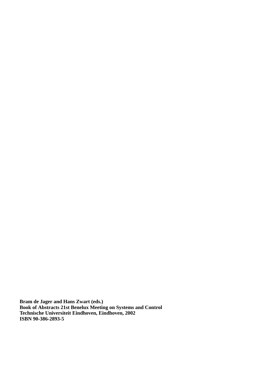**Bram de Jager and Hans Zwart (eds.) Book of Abstracts 21st Benelux Meeting on Systems and Control Technische Universiteit Eindhoven, Eindhoven, 2002 ISBN 90-386-2893-5**